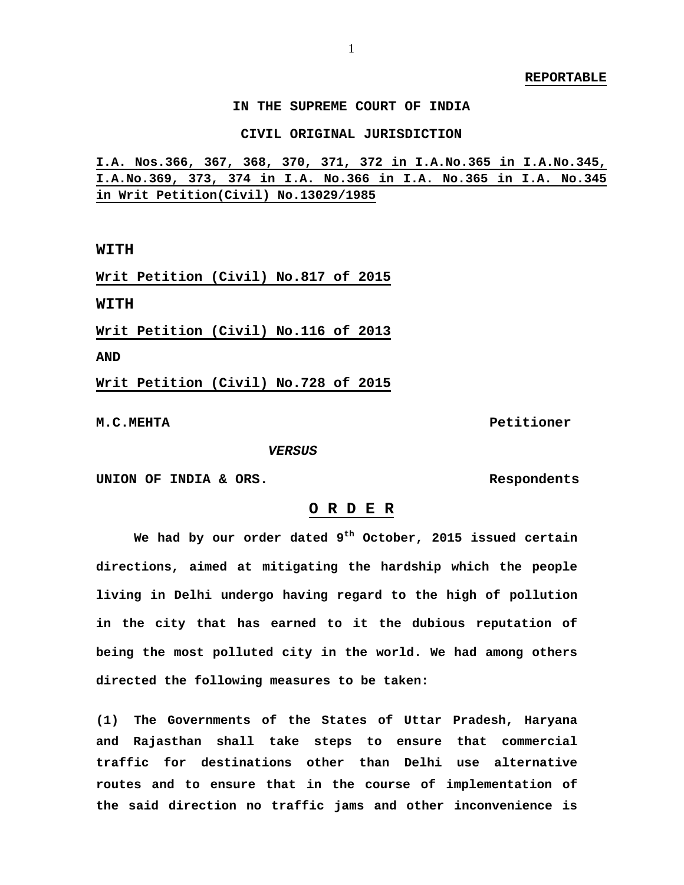**IN THE SUPREME COURT OF INDIA** 

**CIVIL ORIGINAL JURISDICTION**

**I.A. Nos.366, 367, 368, 370, 371, 372 in I.A.No.365 in I.A.No.345, I.A.No.369, 373, 374 in I.A. No.366 in I.A. No.365 in I.A. No.345 in Writ Petition(Civil) No.13029/1985**

**WITH**

**Writ Petition (Civil) No.817 of 2015**

**WITH**

**Writ Petition (Civil) No.116 of 2013**

**AND** 

**Writ Petition (Civil) No.728 of 2015**

**M.C.MEHTA Petitioner**

 *VERSUS*

**UNION OF INDIA & ORS. Respondents** 

## **O R D E R**

 **We had by our order dated 9th October, 2015 issued certain directions, aimed at mitigating the hardship which the people living in Delhi undergo having regard to the high of pollution in the city that has earned to it the dubious reputation of being the most polluted city in the world. We had among others directed the following measures to be taken:** 

**(1) The Governments of the States of Uttar Pradesh, Haryana and Rajasthan shall take steps to ensure that commercial traffic for destinations other than Delhi use alternative routes and to ensure that in the course of implementation of the said direction no traffic jams and other inconvenience is**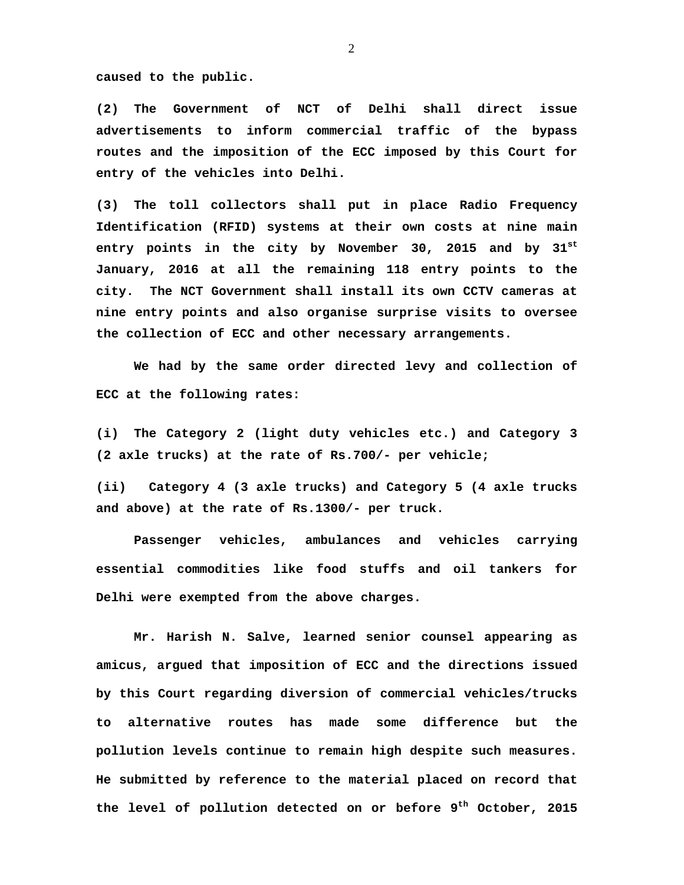**caused to the public.** 

**(2) The Government of NCT of Delhi shall direct issue advertisements to inform commercial traffic of the bypass routes and the imposition of the ECC imposed by this Court for entry of the vehicles into Delhi.** 

**(3) The toll collectors shall put in place Radio Frequency Identification (RFID) systems at their own costs at nine main entry points in the city by November 30, 2015 and by 31st January, 2016 at all the remaining 118 entry points to the city. The NCT Government shall install its own CCTV cameras at nine entry points and also organise surprise visits to oversee the collection of ECC and other necessary arrangements.** 

**We had by the same order directed levy and collection of ECC at the following rates:** 

**(i) The Category 2 (light duty vehicles etc.) and Category 3 (2 axle trucks) at the rate of Rs.700/- per vehicle;** 

**(ii) Category 4 (3 axle trucks) and Category 5 (4 axle trucks and above) at the rate of Rs.1300/- per truck.** 

 **Passenger vehicles, ambulances and vehicles carrying essential commodities like food stuffs and oil tankers for Delhi were exempted from the above charges.** 

 **Mr. Harish N. Salve, learned senior counsel appearing as amicus, argued that imposition of ECC and the directions issued by this Court regarding diversion of commercial vehicles/trucks to alternative routes has made some difference but the pollution levels continue to remain high despite such measures. He submitted by reference to the material placed on record that the level of pollution detected on or before 9th October, 2015**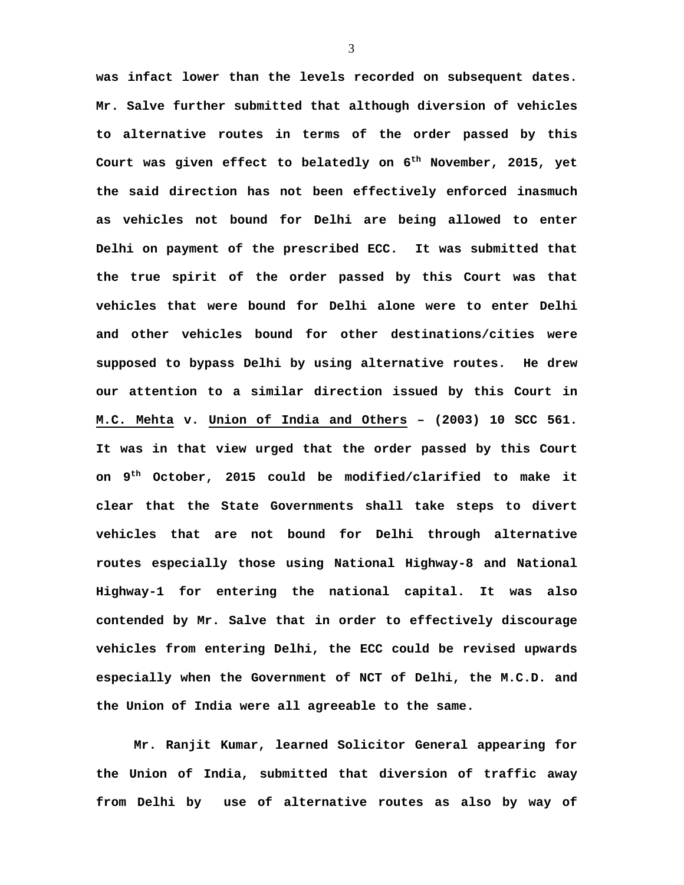**was infact lower than the levels recorded on subsequent dates. Mr. Salve further submitted that although diversion of vehicles to alternative routes in terms of the order passed by this Court was given effect to belatedly on 6th November, 2015, yet the said direction has not been effectively enforced inasmuch as vehicles not bound for Delhi are being allowed to enter Delhi on payment of the prescribed ECC. It was submitted that the true spirit of the order passed by this Court was that vehicles that were bound for Delhi alone were to enter Delhi and other vehicles bound for other destinations/cities were supposed to bypass Delhi by using alternative routes. He drew our attention to a similar direction issued by this Court in M.C. Mehta v. Union of India and Others – (2003) 10 SCC 561. It was in that view urged that the order passed by this Court on 9th October, 2015 could be modified/clarified to make it clear that the State Governments shall take steps to divert vehicles that are not bound for Delhi through alternative routes especially those using National Highway-8 and National Highway-1 for entering the national capital. It was also contended by Mr. Salve that in order to effectively discourage vehicles from entering Delhi, the ECC could be revised upwards especially when the Government of NCT of Delhi, the M.C.D. and the Union of India were all agreeable to the same.** 

**Mr. Ranjit Kumar, learned Solicitor General appearing for the Union of India, submitted that diversion of traffic away from Delhi by use of alternative routes as also by way of**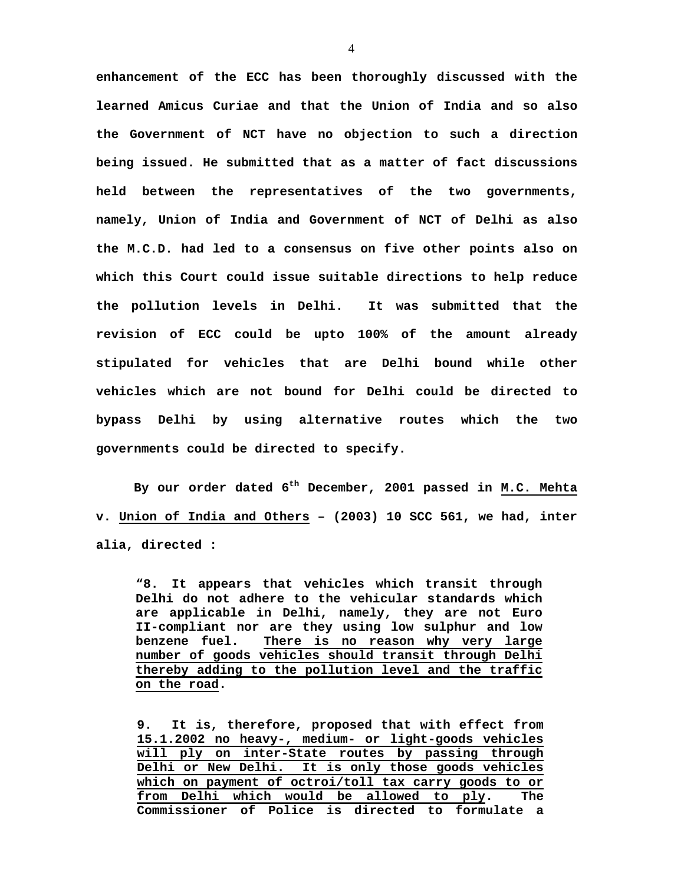**enhancement of the ECC has been thoroughly discussed with the learned Amicus Curiae and that the Union of India and so also the Government of NCT have no objection to such a direction being issued. He submitted that as a matter of fact discussions held between the representatives of the two governments, namely, Union of India and Government of NCT of Delhi as also the M.C.D. had led to a consensus on five other points also on which this Court could issue suitable directions to help reduce the pollution levels in Delhi. It was submitted that the revision of ECC could be upto 100% of the amount already stipulated for vehicles that are Delhi bound while other vehicles which are not bound for Delhi could be directed to bypass Delhi by using alternative routes which the two governments could be directed to specify.** 

 **By our order dated 6th December, 2001 passed in M.C. Mehta v. Union of India and Others – (2003) 10 SCC 561, we had, inter alia, directed :** 

**"8. It appears that vehicles which transit through Delhi do not adhere to the vehicular standards which are applicable in Delhi, namely, they are not Euro II-compliant nor are they using low sulphur and low benzene fuel. There is no reason why very large number of goods vehicles should transit through Delhi thereby adding to the pollution level and the traffic on the road.**

**9. It is, therefore, proposed that with effect from 15.1.2002 no heavy-, medium- or light-goods vehicles will ply on inter-State routes by passing through Delhi or New Delhi. It is only those goods vehicles which on payment of octroi/toll tax carry goods to or from Delhi which would be allowed to ply. The Commissioner of Police is directed to formulate a**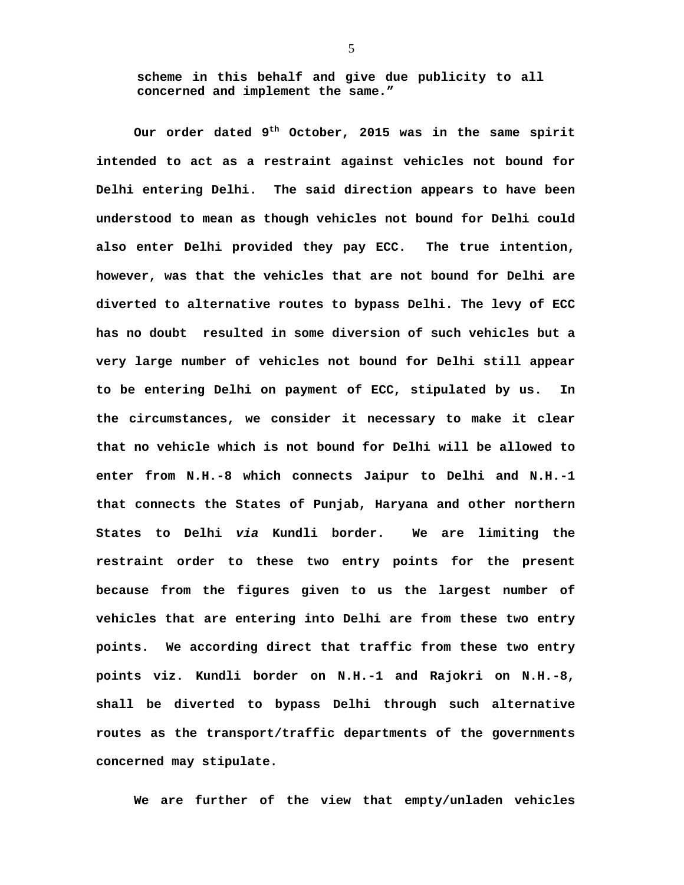**scheme in this behalf and give due publicity to all concerned and implement the same."**

 **Our order dated 9th October, 2015 was in the same spirit intended to act as a restraint against vehicles not bound for Delhi entering Delhi. The said direction appears to have been understood to mean as though vehicles not bound for Delhi could also enter Delhi provided they pay ECC. The true intention, however, was that the vehicles that are not bound for Delhi are diverted to alternative routes to bypass Delhi. The levy of ECC has no doubt resulted in some diversion of such vehicles but a very large number of vehicles not bound for Delhi still appear to be entering Delhi on payment of ECC, stipulated by us. In the circumstances, we consider it necessary to make it clear that no vehicle which is not bound for Delhi will be allowed to enter from N.H.-8 which connects Jaipur to Delhi and N.H.-1 that connects the States of Punjab, Haryana and other northern States to Delhi** *via* **Kundli border. We are limiting the restraint order to these two entry points for the present because from the figures given to us the largest number of vehicles that are entering into Delhi are from these two entry points. We according direct that traffic from these two entry points viz. Kundli border on N.H.-1 and Rajokri on N.H.-8, shall be diverted to bypass Delhi through such alternative routes as the transport/traffic departments of the governments concerned may stipulate.** 

**We are further of the view that empty/unladen vehicles**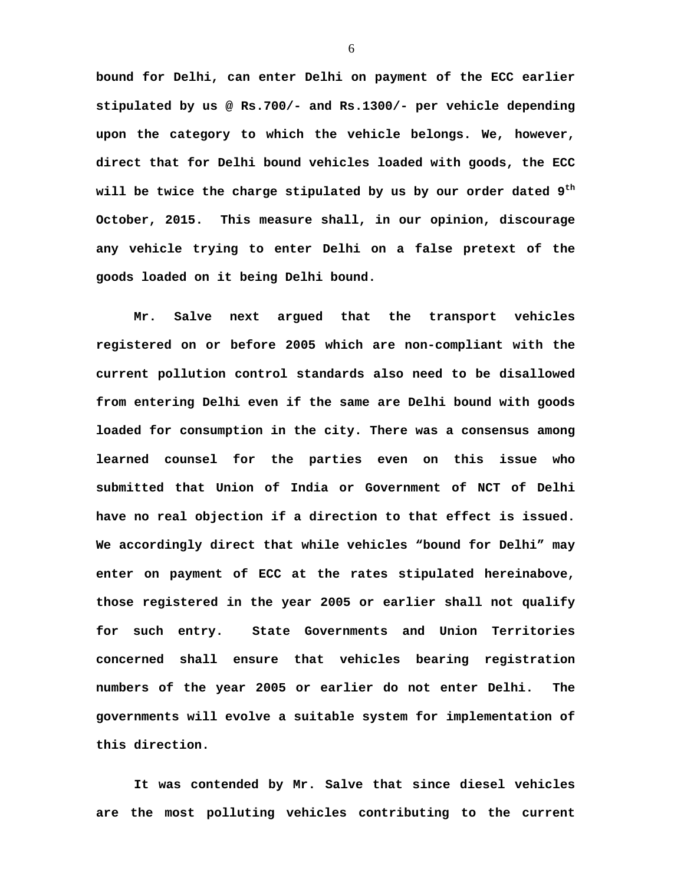**bound for Delhi, can enter Delhi on payment of the ECC earlier stipulated by us @ Rs.700/- and Rs.1300/- per vehicle depending upon the category to which the vehicle belongs. We, however, direct that for Delhi bound vehicles loaded with goods, the ECC will be twice the charge stipulated by us by our order dated 9th October, 2015. This measure shall, in our opinion, discourage any vehicle trying to enter Delhi on a false pretext of the goods loaded on it being Delhi bound.** 

 **Mr. Salve next argued that the transport vehicles registered on or before 2005 which are non-compliant with the current pollution control standards also need to be disallowed from entering Delhi even if the same are Delhi bound with goods loaded for consumption in the city. There was a consensus among learned counsel for the parties even on this issue who submitted that Union of India or Government of NCT of Delhi have no real objection if a direction to that effect is issued. We accordingly direct that while vehicles "bound for Delhi" may enter on payment of ECC at the rates stipulated hereinabove, those registered in the year 2005 or earlier shall not qualify for such entry. State Governments and Union Territories concerned shall ensure that vehicles bearing registration numbers of the year 2005 or earlier do not enter Delhi. The governments will evolve a suitable system for implementation of this direction.** 

 **It was contended by Mr. Salve that since diesel vehicles are the most polluting vehicles contributing to the current**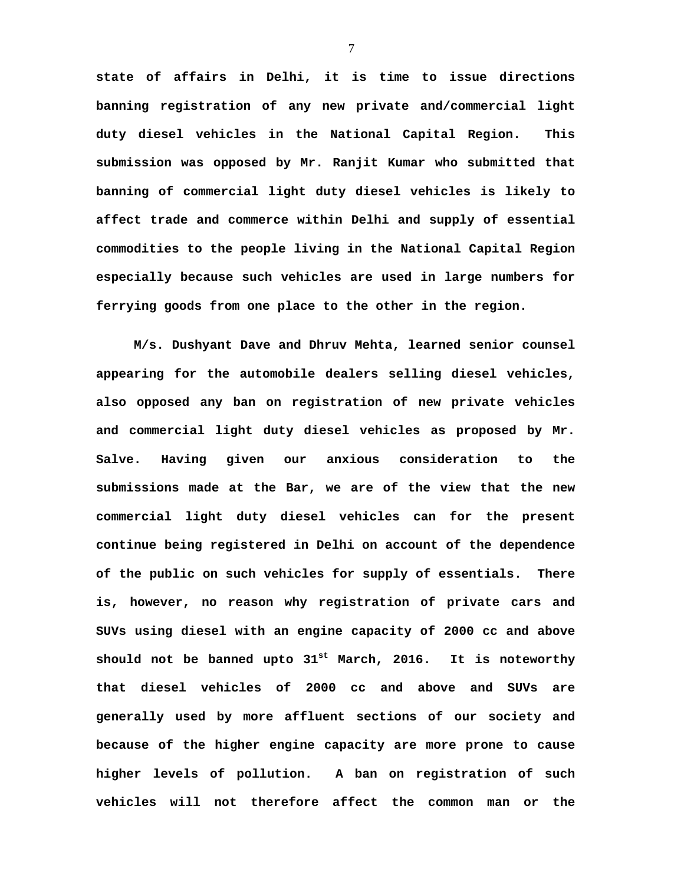**state of affairs in Delhi, it is time to issue directions banning registration of any new private and/commercial light duty diesel vehicles in the National Capital Region. This submission was opposed by Mr. Ranjit Kumar who submitted that banning of commercial light duty diesel vehicles is likely to affect trade and commerce within Delhi and supply of essential commodities to the people living in the National Capital Region especially because such vehicles are used in large numbers for ferrying goods from one place to the other in the region.** 

**M/s. Dushyant Dave and Dhruv Mehta, learned senior counsel appearing for the automobile dealers selling diesel vehicles, also opposed any ban on registration of new private vehicles and commercial light duty diesel vehicles as proposed by Mr. Salve. Having given our anxious consideration to the submissions made at the Bar, we are of the view that the new commercial light duty diesel vehicles can for the present continue being registered in Delhi on account of the dependence of the public on such vehicles for supply of essentials. There is, however, no reason why registration of private cars and SUVs using diesel with an engine capacity of 2000 cc and above should not be banned upto 31st March, 2016. It is noteworthy that diesel vehicles of 2000 cc and above and SUVs are generally used by more affluent sections of our society and because of the higher engine capacity are more prone to cause higher levels of pollution. A ban on registration of such vehicles will not therefore affect the common man or the**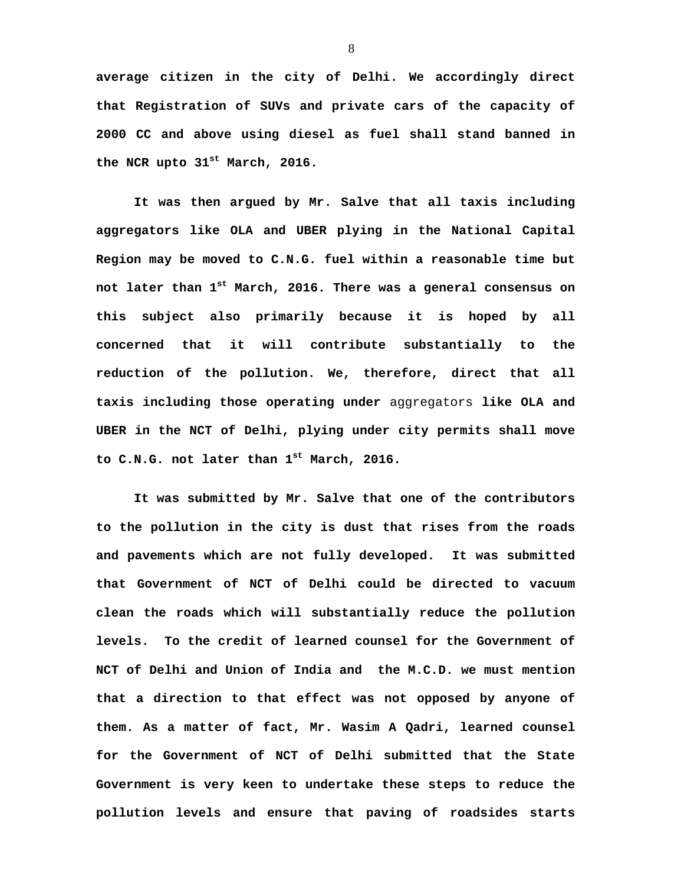**average citizen in the city of Delhi. We accordingly direct that Registration of SUVs and private cars of the capacity of 2000 CC and above using diesel as fuel shall stand banned in the NCR upto 31st March, 2016.** 

 **It was then argued by Mr. Salve that all taxis including aggregators like OLA and UBER plying in the National Capital Region may be moved to C.N.G. fuel within a reasonable time but not later than 1st March, 2016. There was a general consensus on this subject also primarily because it is hoped by all concerned that it will contribute substantially to the reduction of the pollution. We, therefore, direct that all taxis including those operating under** aggregators **like OLA and UBER in the NCT of Delhi, plying under city permits shall move to C.N.G. not later than 1st March, 2016.** 

 **It was submitted by Mr. Salve that one of the contributors to the pollution in the city is dust that rises from the roads and pavements which are not fully developed. It was submitted that Government of NCT of Delhi could be directed to vacuum clean the roads which will substantially reduce the pollution levels. To the credit of learned counsel for the Government of NCT of Delhi and Union of India and the M.C.D. we must mention that a direction to that effect was not opposed by anyone of them. As a matter of fact, Mr. Wasim A Qadri, learned counsel for the Government of NCT of Delhi submitted that the State Government is very keen to undertake these steps to reduce the pollution levels and ensure that paving of roadsides starts**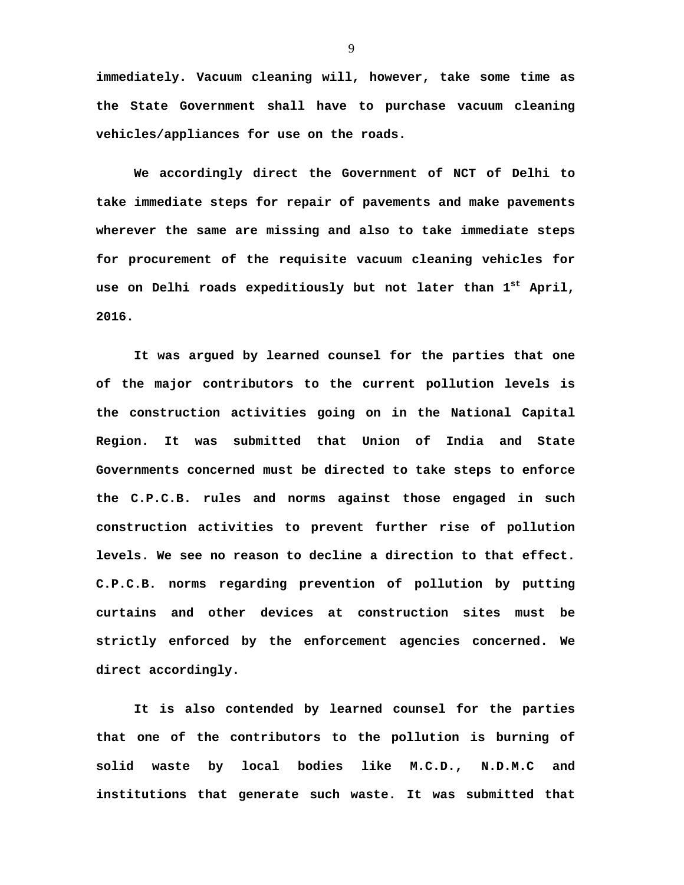**immediately. Vacuum cleaning will, however, take some time as the State Government shall have to purchase vacuum cleaning vehicles/appliances for use on the roads.** 

 **We accordingly direct the Government of NCT of Delhi to take immediate steps for repair of pavements and make pavements wherever the same are missing and also to take immediate steps for procurement of the requisite vacuum cleaning vehicles for use on Delhi roads expeditiously but not later than 1st April, 2016.** 

 **It was argued by learned counsel for the parties that one of the major contributors to the current pollution levels is the construction activities going on in the National Capital Region. It was submitted that Union of India and State Governments concerned must be directed to take steps to enforce the C.P.C.B. rules and norms against those engaged in such construction activities to prevent further rise of pollution levels. We see no reason to decline a direction to that effect. C.P.C.B. norms regarding prevention of pollution by putting curtains and other devices at construction sites must be strictly enforced by the enforcement agencies concerned. We direct accordingly.** 

 **It is also contended by learned counsel for the parties that one of the contributors to the pollution is burning of solid waste by local bodies like M.C.D., N.D.M.C and institutions that generate such waste. It was submitted that**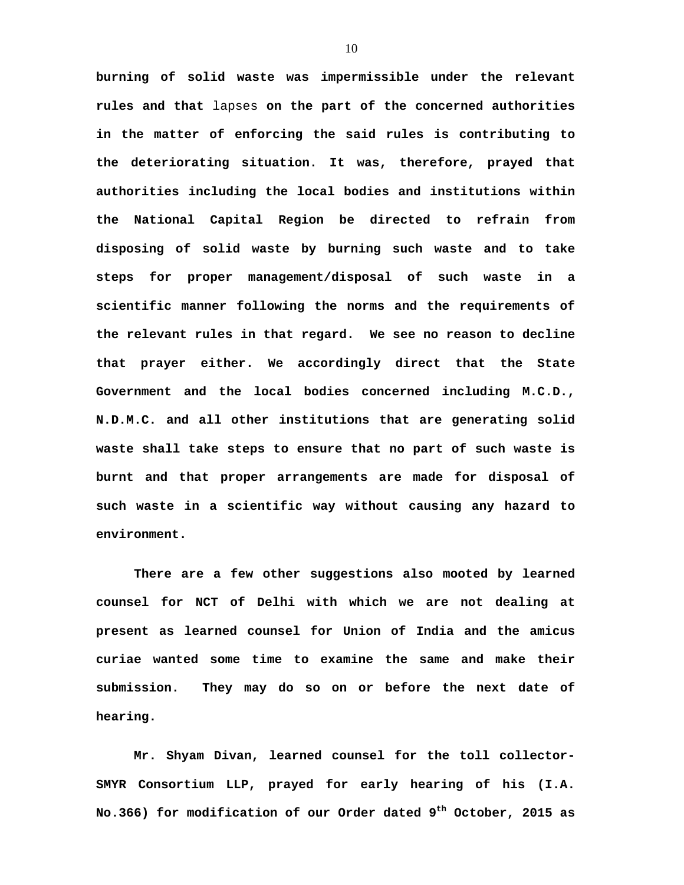**burning of solid waste was impermissible under the relevant rules and that** lapses **on the part of the concerned authorities in the matter of enforcing the said rules is contributing to the deteriorating situation. It was, therefore, prayed that authorities including the local bodies and institutions within the National Capital Region be directed to refrain from disposing of solid waste by burning such waste and to take steps for proper management/disposal of such waste in a scientific manner following the norms and the requirements of the relevant rules in that regard. We see no reason to decline that prayer either. We accordingly direct that the State Government and the local bodies concerned including M.C.D., N.D.M.C. and all other institutions that are generating solid waste shall take steps to ensure that no part of such waste is burnt and that proper arrangements are made for disposal of such waste in a scientific way without causing any hazard to environment.** 

**There are a few other suggestions also mooted by learned counsel for NCT of Delhi with which we are not dealing at present as learned counsel for Union of India and the amicus curiae wanted some time to examine the same and make their submission. They may do so on or before the next date of hearing.** 

 **Mr. Shyam Divan, learned counsel for the toll collector-SMYR Consortium LLP, prayed for early hearing of his (I.A. No.366) for modification of our Order dated 9th October, 2015 as**